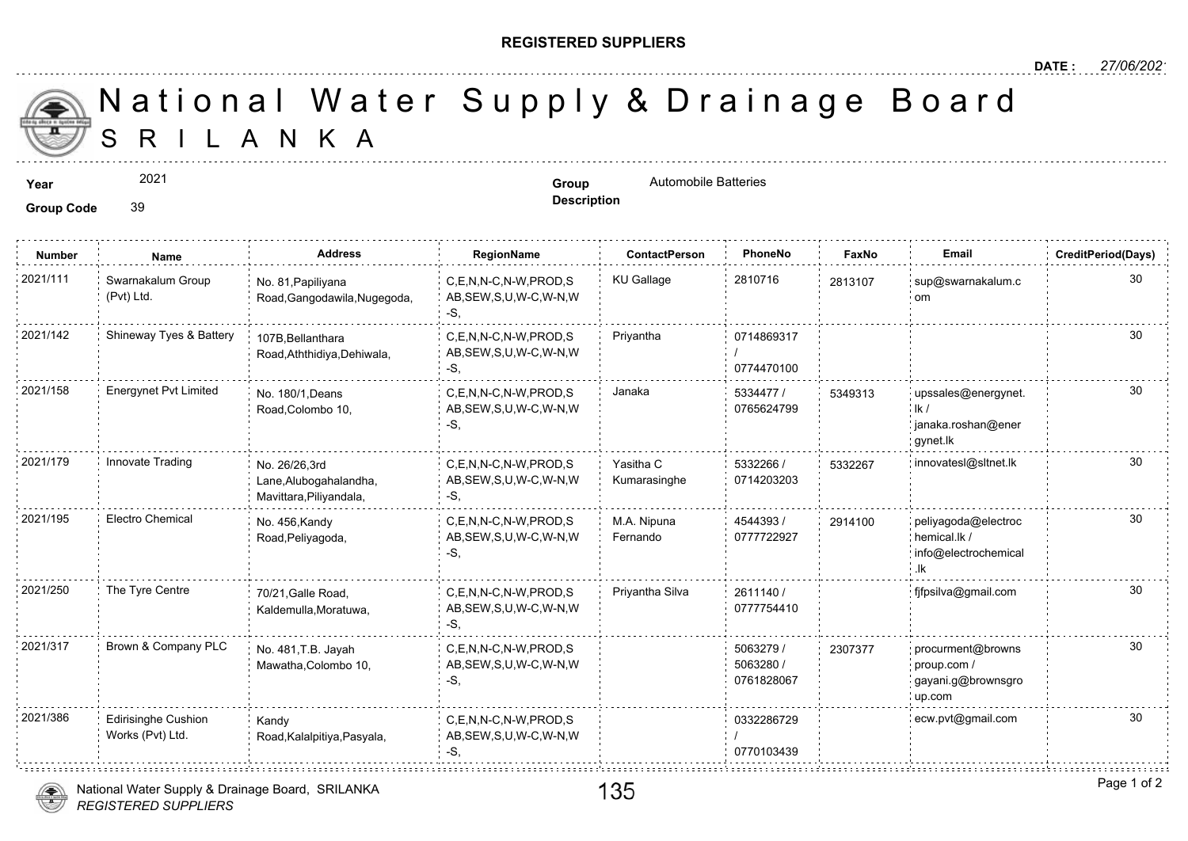## **REGISTERED SUPPLIERS**

**Description**

A N K A National Water Supply & Drainage

**Year Group Group Group Group Automobile Batteries** 

2021

**Group Code** 39

**Number Name Address RegionName ContactPerson PhoneNo FaxNo Email CreditPeriod(Days)** 2021/111 : Swarnakalum Group No. 81,Papiliyana C,E,N,N-C,N-W,PROD,S KU Gallage 2810716 281310 AB,SEW,S,U,W-C,W-N,W -S, No. 81,Papiliyana Road,Gangodawila,Nugegoda, Swarnakalum Group (Pvt) Ltd. 281310 0714869317 / 0774470100 C,E,N,N-C,N-W,PROD,S Priyantha AB,SEW,S,U,W-C,W-N,W -S, 107B,Bellanthara Road,Aththidiya,Dehiwala, 2021/142 Shineway Tyes & Battery 5334477 / 0765624799 2021/158 Energynet Pvt Limited No. 180/1, Deans C,E,N,N-C,N-W,PROD,S Janaka 5334477 / 53493 AB,SEW,S,U,W-C,W-N,W -S, No. 180/1,Deans Road,Colombo 10, 53493<sup>-</sup> 5332266 / 533220 0714203203 Yasitha C Kumarasinghe 2021/179 Innovate Trading No. 26/26,3rd C,E,N,N-C,N-W,PROD,S Yasitha C 5332266 / 533226 AB,SEW,S,U,W-C,W-N,W -S, No. 26/26,3rd Lane,Alubogahalandha, Mavittara,Piliyandala, 4544393 / 30 0777722927 M.A. Nipuna Fernando C,E,N,N-C,N-W,PROD,S 2021/195 Electro Chemical peliyagoda@electroc AB,SEW,S,U,W-C,W-N,W -S, No. 456,Kandy Road,Peliyagoda, 291410 2611140 / 0777754410 2021/250 The Tyre Centre role of the Road, the C,E,N,N-C,N-W,PROD,S Priyantha Silva to 2611140 / to the fight of the Road, the comparation of the Tyre Centre for the Road, the comparation of the Tyre Centre for the Road, t AB,SEW,S,U,W-C,W-N,W -S, 70/21,Galle Road, Kaldemulla,Moratuwa, 5063279 / 5063280 / 0761828067 2021/317 Brown & Company PLC <sub>No.</sub> 481,T.B. Jayah C,E,N,N-C,N-W,PROD,S 5063279 / 230737 AB,SEW,S,U,W-C,W-N,W -S, No. 481,T.B. Jayah Mawatha,Colombo 10, 23073 0332286729 / 0770103439 2021/386 Edirisinghe Cushion Kandy C,E,N,N-C,N-W,PROD,S 0332286729 AB,SEW,S,U,W-C,W-N,W -S, Kandy Road,Kalalpitiya,Pasyala, Edirisinghe Cushion Works (Pvt) Ltd.

*REGISTERED SUPPLIERS* National Water Supply & Drainage Board, SRILANKA